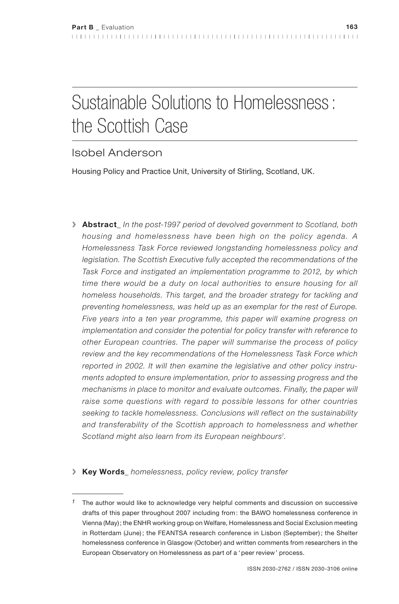# Sustainable Solutions to Homelessness: the Scottish Case

# Isobel Anderson

Housing Policy and Practice Unit, University of Stirling, Scotland, UK.

- **> Abstract***\_ In the post-1997 period of devolved government to Scotland, both housing and homelessness have been high on the policy agenda. A Homelessness Task Force reviewed longstanding homelessness policy and*  legislation. The Scottish Executive fully accepted the recommendations of the *Task Force and instigated an implementation programme to 2012, by which*  time there would be a duty on local authorities to ensure housing for all *homeless households. This target, and the broader strategy for tackling and preventing homelessness, was held up as an exemplar for the rest of Europe. Five years into a ten year programme, this paper will examine progress on implementation and consider the potential for policy transfer with reference to other European countries. The paper will summarise the process of policy review and the key recommendations of the Homelessness Task Force which reported in 2002. It will then examine the legislative and other policy instruments adopted to ensure implementation, prior to assessing progress and the mechanisms in place to monitor and evaluate outcomes. Finally, the paper will raise some questions with regard to possible lessons for other countries seeking to tackle homelessness. Conclusions will reflect on the sustainability and transferability of the Scottish approach to homelessness and whether Scotland might also learn from its European neighbours1 .*
- **> Key Words***\_ homelessness, policy review, policy transfer*

*<sup>1</sup>* The author would like to acknowledge very helpful comments and discussion on successive drafts of this paper throughout 2007 including from: the BAWO homelessness conference in Vienna (May); the ENHR working group on Welfare, Homelessness and Social Exclusion meeting in Rotterdam (June); the FEANTSA research conference in Lisbon (September); the Shelter homelessness conference in Glasgow (October) and written comments from researchers in the European Observatory on Homelessness as part of a 'peer review' process.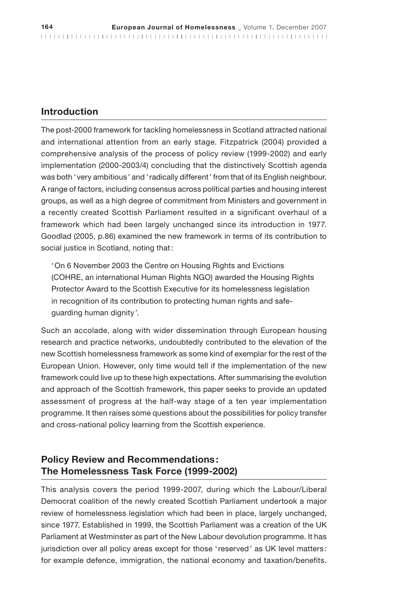#### **Introduction**

The post-2000 framework for tackling homelessness in Scotland attracted national and international attention from an early stage. Fitzpatrick (2004) provided a comprehensive analysis of the process of policy review (1999-2002) and early implementation (2000-2003/4) concluding that the distinctively Scottish agenda was both 'very ambitious' and 'radically different' from that of its English neighbour. A range of factors, including consensus across political parties and housing interest groups, as well as a high degree of commitment from Ministers and government in a recently created Scottish Parliament resulted in a significant overhaul of a framework which had been largely unchanged since its introduction in 1977. Goodlad (2005, p.86) examined the new framework in terms of its contribution to social justice in Scotland, noting that:

'On 6 November 2003 the Centre on Housing Rights and Evictions (COHRE, an international Human Rights NGO) awarded the Housing Rights Protector Award to the Scottish Executive for its homelessness legislation in recognition of its contribution to protecting human rights and safeguarding human dignity'.

Such an accolade, along with wider dissemination through European housing research and practice networks, undoubtedly contributed to the elevation of the new Scottish homelessness framework as some kind of exemplar for the rest of the European Union. However, only time would tell if the implementation of the new framework could live up to these high expectations. After summarising the evolution and approach of the Scottish framework, this paper seeks to provide an updated assessment of progress at the half-way stage of a ten year implementation programme. It then raises some questions about the possibilities for policy transfer and cross-national policy learning from the Scottish experience.

# **Policy Review and Recommendations: The Homelessness Task Force (1999-2002)**

This analysis covers the period 1999-2007, during which the Labour/Liberal Democrat coalition of the newly created Scottish Parliament undertook a major review of homelessness legislation which had been in place, largely unchanged, since 1977. Established in 1999, the Scottish Parliament was a creation of the UK Parliament at Westminster as part of the New Labour devolution programme. It has jurisdiction over all policy areas except for those 'reserved' as UK level matters: for example defence, immigration, the national economy and taxation/benefits.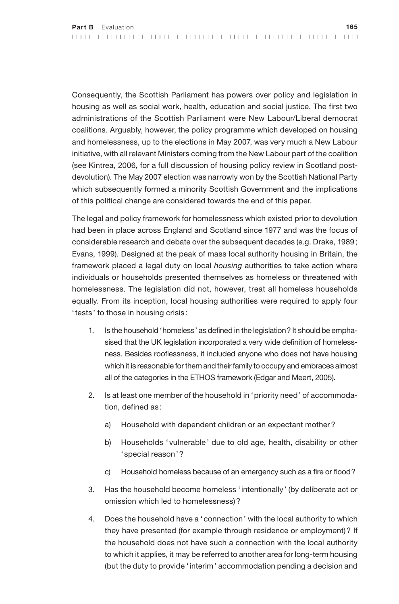Consequently, the Scottish Parliament has powers over policy and legislation in housing as well as social work, health, education and social justice. The first two administrations of the Scottish Parliament were New Labour/Liberal democrat coalitions. Arguably, however, the policy programme which developed on housing and homelessness, up to the elections in May 2007, was very much a New Labour initiative, with all relevant Ministers coming from the New Labour part of the coalition (see Kintrea, 2006, for a full discussion of housing policy review in Scotland postdevolution). The May 2007 election was narrowly won by the Scottish National Party which subsequently formed a minority Scottish Government and the implications of this political change are considered towards the end of this paper.

The legal and policy framework for homelessness which existed prior to devolution had been in place across England and Scotland since 1977 and was the focus of considerable research and debate over the subsequent decades (e.g. Drake, 1989; Evans, 1999). Designed at the peak of mass local authority housing in Britain, the framework placed a legal duty on local *housing* authorities to take action where individuals or households presented themselves as homeless or threatened with homelessness. The legislation did not, however, treat all homeless households equally. From its inception, local housing authorities were required to apply four 'tests' to those in housing crisis :

- 1. Is the household 'homeless' as defined in the legislation? It should be emphasised that the UK legislation incorporated a very wide definition of homelessness. Besides rooflessness, it included anyone who does not have housing which it is reasonable for them and their family to occupy and embraces almost all of the categories in the ETHOS framework (Edgar and Meert, 2005).
- 2. Is at least one member of the household in 'priority need' of accommodation, defined as:
	- a) Household with dependent children or an expectant mother?
	- b) Households ' vulnerable' due to old age, health, disability or other ' special reason'?
	- c) Household homeless because of an emergency such as a fire or flood?
- 3. Has the household become homeless 'intentionally ' (by deliberate act or omission which led to homelessness)?
- 4. Does the household have a 'connection' with the local authority to which they have presented (for example through residence or employment)? If the household does not have such a connection with the local authority to which it applies, it may be referred to another area for long-term housing (but the duty to provide 'interim' accommodation pending a decision and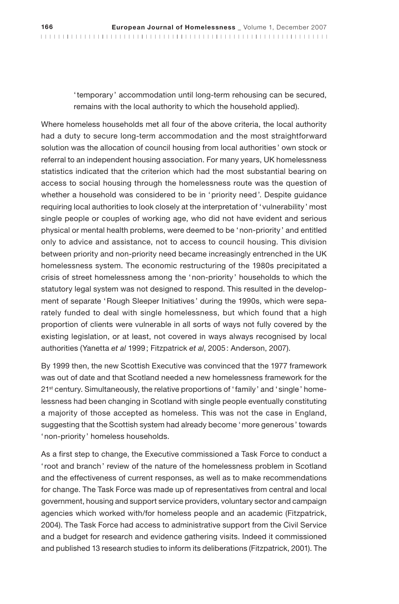'temporary ' accommodation until long-term rehousing can be secured, remains with the local authority to which the household applied).

Where homeless households met all four of the above criteria, the local authority had a duty to secure long-term accommodation and the most straightforward solution was the allocation of council housing from local authorities ' own stock or referral to an independent housing association. For many years, UK homelessness statistics indicated that the criterion which had the most substantial bearing on access to social housing through the homelessness route was the question of whether a household was considered to be in 'priority need'. Despite guidance requiring local authorities to look closely at the interpretation of 'vulnerability' most single people or couples of working age, who did not have evident and serious physical or mental health problems, were deemed to be 'non-priority ' and entitled only to advice and assistance, not to access to council housing. This division between priority and non-priority need became increasingly entrenched in the UK homelessness system. The economic restructuring of the 1980s precipitated a crisis of street homelessness among the 'non-priority ' households to which the statutory legal system was not designed to respond. This resulted in the development of separate 'Rough Sleeper Initiatives' during the 1990s, which were separately funded to deal with single homelessness, but which found that a high proportion of clients were vulnerable in all sorts of ways not fully covered by the existing legislation, or at least, not covered in ways always recognised by local authorities (Yanetta *et al* 1999; Fitzpatrick *et al*, 2005: Anderson, 2007).

By 1999 then, the new Scottish Executive was convinced that the 1977 framework was out of date and that Scotland needed a new homelessness framework for the 21<sup>st</sup> century. Simultaneously, the relative proportions of 'family' and 'single' homelessness had been changing in Scotland with single people eventually constituting a majority of those accepted as homeless. This was not the case in England, suggesting that the Scottish system had already become 'more generous' towards 'non-priority ' homeless households.

As a first step to change, the Executive commissioned a Task Force to conduct a 'root and branch' review of the nature of the homelessness problem in Scotland and the effectiveness of current responses, as well as to make recommendations for change. The Task Force was made up of representatives from central and local government, housing and support service providers, voluntary sector and campaign agencies which worked with/for homeless people and an academic (Fitzpatrick, 2004). The Task Force had access to administrative support from the Civil Service and a budget for research and evidence gathering visits. Indeed it commissioned and published 13 research studies to inform its deliberations (Fitzpatrick, 2001). The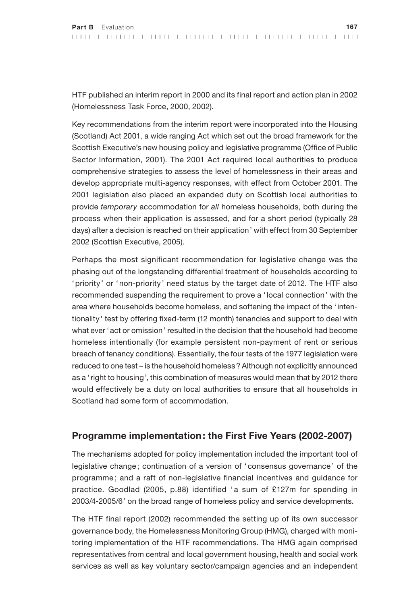HTF published an interim report in 2000 and its final report and action plan in 2002 (Homelessness Task Force, 2000, 2002).

Key recommendations from the interim report were incorporated into the Housing (Scotland) Act 2001, a wide ranging Act which set out the broad framework for the Scottish Executive's new housing policy and legislative programme (Office of Public Sector Information, 2001). The 2001 Act required local authorities to produce comprehensive strategies to assess the level of homelessness in their areas and develop appropriate multi-agency responses, with effect from October 2001. The 2001 legislation also placed an expanded duty on Scottish local authorities to provide *temporary* accommodation for *all* homeless households, both during the process when their application is assessed, and for a short period (typically 28 days) after a decision is reached on their application' with effect from 30 September 2002 (Scottish Executive, 2005).

Perhaps the most significant recommendation for legislative change was the phasing out of the longstanding differential treatment of households according to 'priority' or 'non-priority' need status by the target date of 2012. The HTF also recommended suspending the requirement to prove a 'local connection' with the area where households become homeless, and softening the impact of the 'intentionality' test by offering fixed-term (12 month) tenancies and support to deal with what ever 'act or omission' resulted in the decision that the household had become homeless intentionally (for example persistent non-payment of rent or serious breach of tenancy conditions). Essentially, the four tests of the 1977 legislation were reduced to one test – is the household homeless? Although not explicitly announced as a 'right to housing', this combination of measures would mean that by 2012 there would effectively be a duty on local authorities to ensure that all households in Scotland had some form of accommodation.

# **Programme implementation: the First Five Years (2002-2007)**

The mechanisms adopted for policy implementation included the important tool of legislative change ; continuation of a version of ' consensus governance ' of the programme ; and a raft of non-legislative financial incentives and guidance for practice. Goodlad (2005, p.88) identified ' a sum of £127m for spending in 2003/4-2005/6' on the broad range of homeless policy and service developments.

The HTF final report (2002) recommended the setting up of its own successor governance body, the Homelessness Monitoring Group (HMG), charged with monitoring implementation of the HTF recommendations. The HMG again comprised representatives from central and local government housing, health and social work services as well as key voluntary sector/campaign agencies and an independent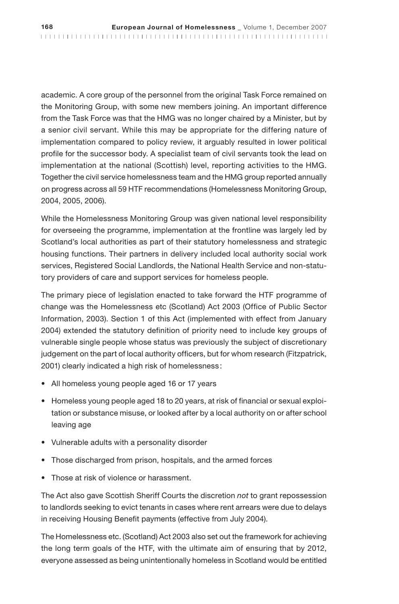academic. A core group of the personnel from the original Task Force remained on the Monitoring Group, with some new members joining. An important difference from the Task Force was that the HMG was no longer chaired by a Minister, but by a senior civil servant. While this may be appropriate for the differing nature of implementation compared to policy review, it arguably resulted in lower political profile for the successor body. A specialist team of civil servants took the lead on implementation at the national (Scottish) level, reporting activities to the HMG. Together the civil service homelessness team and the HMG group reported annually on progress across all 59 HTF recommendations (Homelessness Monitoring Group, 2004, 2005, 2006).

While the Homelessness Monitoring Group was given national level responsibility for overseeing the programme, implementation at the frontline was largely led by Scotland's local authorities as part of their statutory homelessness and strategic housing functions. Their partners in delivery included local authority social work services, Registered Social Landlords, the National Health Service and non-statutory providers of care and support services for homeless people.

The primary piece of legislation enacted to take forward the HTF programme of change was the Homelessness etc (Scotland) Act 2003 (Office of Public Sector Information, 2003). Section 1 of this Act (implemented with effect from January 2004) extended the statutory definition of priority need to include key groups of vulnerable single people whose status was previously the subject of discretionary judgement on the part of local authority officers, but for whom research (Fitzpatrick, 2001) clearly indicated a high risk of homelessness :

- All homeless young people aged 16 or 17 years
- Homeless young people aged 18 to 20 years, at risk of financial or sexual exploitation or substance misuse, or looked after by a local authority on or after school leaving age
- • Vulnerable adults with a personality disorder
- Those discharged from prison, hospitals, and the armed forces
- Those at risk of violence or harassment.

The Act also gave Scottish Sheriff Courts the discretion *not* to grant repossession to landlords seeking to evict tenants in cases where rent arrears were due to delays in receiving Housing Benefit payments (effective from July 2004).

The Homelessness etc. (Scotland) Act 2003 also set out the framework for achieving the long term goals of the HTF, with the ultimate aim of ensuring that by 2012, everyone assessed as being unintentionally homeless in Scotland would be entitled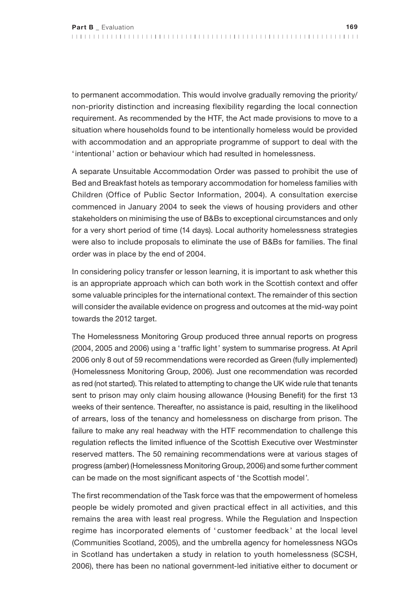to permanent accommodation. This would involve gradually removing the priority/ non-priority distinction and increasing flexibility regarding the local connection requirement. As recommended by the HTF, the Act made provisions to move to a situation where households found to be intentionally homeless would be provided with accommodation and an appropriate programme of support to deal with the 'intentional' action or behaviour which had resulted in homelessness.

A separate Unsuitable Accommodation Order was passed to prohibit the use of Bed and Breakfast hotels as temporary accommodation for homeless families with Children (Office of Public Sector Information, 2004). A consultation exercise commenced in January 2004 to seek the views of housing providers and other stakeholders on minimising the use of B&Bs to exceptional circumstances and only for a very short period of time (14 days). Local authority homelessness strategies were also to include proposals to eliminate the use of B&Bs for families. The final order was in place by the end of 2004.

In considering policy transfer or lesson learning, it is important to ask whether this is an appropriate approach which can both work in the Scottish context and offer some valuable principles for the international context. The remainder of this section will consider the available evidence on progress and outcomes at the mid-way point towards the 2012 target.

The Homelessness Monitoring Group produced three annual reports on progress (2004, 2005 and 2006) using a 'traffic light' system to summarise progress. At April 2006 only 8 out of 59 recommendations were recorded as Green (fully implemented) (Homelessness Monitoring Group, 2006). Just one recommendation was recorded as red (not started). This related to attempting to change the UK wide rule that tenants sent to prison may only claim housing allowance (Housing Benefit) for the first 13 weeks of their sentence. Thereafter, no assistance is paid, resulting in the likelihood of arrears, loss of the tenancy and homelessness on discharge from prison. The failure to make any real headway with the HTF recommendation to challenge this regulation reflects the limited influence of the Scottish Executive over Westminster reserved matters. The 50 remaining recommendations were at various stages of progress (amber) (Homelessness Monitoring Group, 2006) and some further comment can be made on the most significant aspects of 'the Scottish model'.

The first recommendation of the Task force was that the empowerment of homeless people be widely promoted and given practical effect in all activities, and this remains the area with least real progress. While the Regulation and Inspection regime has incorporated elements of ' customer feedback ' at the local level (Communities Scotland, 2005), and the umbrella agency for homelessness NGOs in Scotland has undertaken a study in relation to youth homelessness (SCSH, 2006), there has been no national government-led initiative either to document or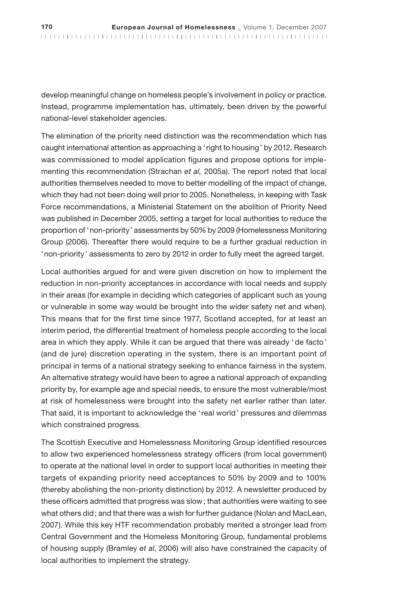develop meaningful change on homeless people's involvement in policy or practice. Instead, programme implementation has, ultimately, been driven by the powerful national-level stakeholder agencies.

The elimination of the priority need distinction was the recommendation which has caught international attention as approaching a 'right to housing' by 2012. Research was commissioned to model application figures and propose options for implementing this recommendation (Strachan *et al,* 2005a). The report noted that local authorities themselves needed to move to better modelling of the impact of change, which they had not been doing well prior to 2005. Nonetheless, in keeping with Task Force recommendations, a Ministerial Statement on the abolition of Priority Need was published in December 2005, setting a target for local authorities to reduce the proportion of 'non-priority' assessments by 50% by 2009 (Homelessness Monitoring Group (2006). Thereafter there would require to be a further gradual reduction in 'non-priority' assessments to zero by 2012 in order to fully meet the agreed target.

Local authorities argued for and were given discretion on how to implement the reduction in non-priority acceptances in accordance with local needs and supply in their areas (for example in deciding which categories of applicant such as young or vulnerable in some way would be brought into the wider safety net and when). This means that for the first time since 1977, Scotland accepted, for at least an interim period, the differential treatment of homeless people according to the local area in which they apply. While it can be argued that there was already 'de facto' (and de jure) discretion operating in the system, there is an important point of principal in terms of a national strategy seeking to enhance fairness in the system. An alternative strategy would have been to agree a national approach of expanding priority by, for example age and special needs, to ensure the most vulnerable/most at risk of homelessness were brought into the safety net earlier rather than later. That said, it is important to acknowledge the 'real world' pressures and dilemmas which constrained progress.

The Scottish Executive and Homelessness Monitoring Group identified resources to allow two experienced homelessness strategy officers (from local government) to operate at the national level in order to support local authorities in meeting their targets of expanding priority need acceptances to 50% by 2009 and to 100% (thereby abolishing the non-priority distinction) by 2012. A newsletter produced by these officers admitted that progress was slow; that authorities were waiting to see what others did; and that there was a wish for further guidance (Nolan and MacLean, 2007). While this key HTF recommendation probably merited a stronger lead from Central Government and the Homeless Monitoring Group, fundamental problems of housing supply (Bramley *et al*, 2006) will also have constrained the capacity of local authorities to implement the strategy.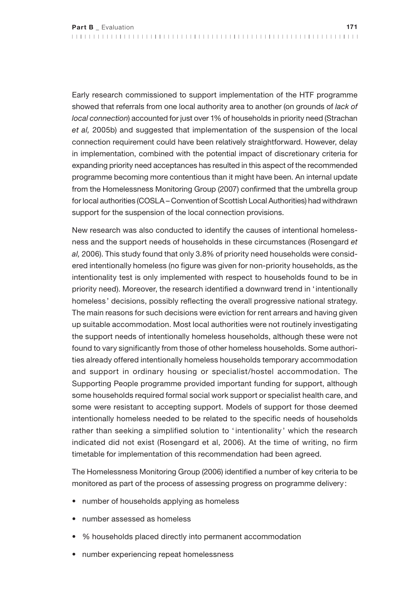Early research commissioned to support implementation of the HTF programme showed that referrals from one local authority area to another (on grounds of *lack of local connection*) accounted for just over 1% of households in priority need (Strachan *et al,* 2005b) and suggested that implementation of the suspension of the local connection requirement could have been relatively straightforward. However, delay in implementation, combined with the potential impact of discretionary criteria for expanding priority need acceptances has resulted in this aspect of the recommended programme becoming more contentious than it might have been. An internal update from the Homelessness Monitoring Group (2007) confirmed that the umbrella group for local authorities (COSLA – Convention of Scottish Local Authorities) had withdrawn support for the suspension of the local connection provisions.

New research was also conducted to identify the causes of intentional homelessness and the support needs of households in these circumstances (Rosengard *et al,* 2006). This study found that only 3.8% of priority need households were considered intentionally homeless (no figure was given for non-priority households, as the intentionality test is only implemented with respect to households found to be in priority need). Moreover, the research identified a downward trend in 'intentionally homeless ' decisions, possibly reflecting the overall progressive national strategy. The main reasons for such decisions were eviction for rent arrears and having given up suitable accommodation. Most local authorities were not routinely investigating the support needs of intentionally homeless households, although these were not found to vary significantly from those of other homeless households. Some authorities already offered intentionally homeless households temporary accommodation and support in ordinary housing or specialist/hostel accommodation. The Supporting People programme provided important funding for support, although some households required formal social work support or specialist health care, and some were resistant to accepting support. Models of support for those deemed intentionally homeless needed to be related to the specific needs of households rather than seeking a simplified solution to ' intentionality ' which the research indicated did not exist (Rosengard et al, 2006). At the time of writing, no firm timetable for implementation of this recommendation had been agreed.

The Homelessness Monitoring Group (2006) identified a number of key criteria to be monitored as part of the process of assessing progress on programme delivery:

- number of households applying as homeless
- number assessed as homeless
- % households placed directly into permanent accommodation
- number experiencing repeat homelessness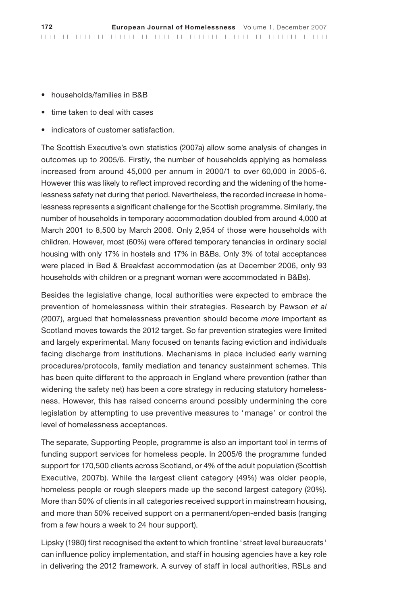- • households/families in B&B
- time taken to deal with cases
- indicators of customer satisfaction.

The Scottish Executive's own statistics (2007a) allow some analysis of changes in outcomes up to 2005/6. Firstly, the number of households applying as homeless increased from around 45,000 per annum in 2000/1 to over 60,000 in 2005-6. However this was likely to reflect improved recording and the widening of the homelessness safety net during that period. Nevertheless, the recorded increase in homelessness represents a significant challenge for the Scottish programme. Similarly, the number of households in temporary accommodation doubled from around 4,000 at March 2001 to 8,500 by March 2006. Only 2,954 of those were households with children. However, most (60%) were offered temporary tenancies in ordinary social housing with only 17% in hostels and 17% in B&Bs. Only 3% of total acceptances were placed in Bed & Breakfast accommodation (as at December 2006, only 93 households with children or a pregnant woman were accommodated in B&Bs).

Besides the legislative change, local authorities were expected to embrace the prevention of homelessness within their strategies. Research by Pawson *et al* (2007), argued that homelessness prevention should become *more* important as Scotland moves towards the 2012 target. So far prevention strategies were limited and largely experimental. Many focused on tenants facing eviction and individuals facing discharge from institutions. Mechanisms in place included early warning procedures/protocols, family mediation and tenancy sustainment schemes. This has been quite different to the approach in England where prevention (rather than widening the safety net) has been a core strategy in reducing statutory homelessness. However, this has raised concerns around possibly undermining the core legislation by attempting to use preventive measures to 'manage' or control the level of homelessness acceptances.

The separate, Supporting People, programme is also an important tool in terms of funding support services for homeless people. In 2005/6 the programme funded support for 170,500 clients across Scotland, or 4% of the adult population (Scottish Executive, 2007b). While the largest client category (49%) was older people, homeless people or rough sleepers made up the second largest category (20%). More than 50% of clients in all categories received support in mainstream housing, and more than 50% received support on a permanent/open-ended basis (ranging from a few hours a week to 24 hour support).

Lipsky (1980) first recognised the extent to which frontline ' street level bureaucrats' can influence policy implementation, and staff in housing agencies have a key role in delivering the 2012 framework. A survey of staff in local authorities, RSLs and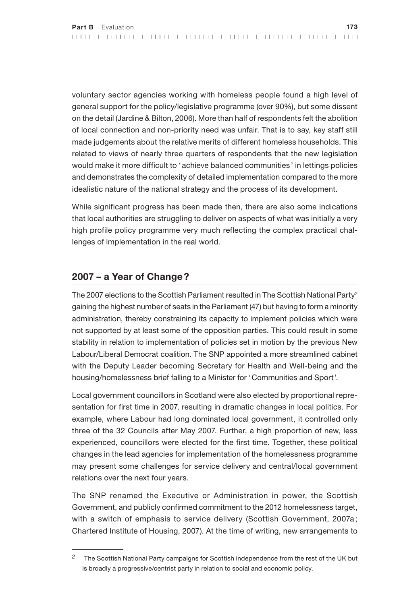voluntary sector agencies working with homeless people found a high level of general support for the policy/legislative programme (over 90%), but some dissent on the detail (Jardine & Bilton, 2006). More than half of respondents felt the abolition of local connection and non-priority need was unfair. That is to say, key staff still made judgements about the relative merits of different homeless households. This related to views of nearly three quarters of respondents that the new legislation would make it more difficult to 'achieve balanced communities' in lettings policies and demonstrates the complexity of detailed implementation compared to the more idealistic nature of the national strategy and the process of its development.

While significant progress has been made then, there are also some indications that local authorities are struggling to deliver on aspects of what was initially a very high profile policy programme very much reflecting the complex practical challenges of implementation in the real world.

# **2007 – a Year of Change?**

The 2007 elections to the Scottish Parliament resulted in The Scottish National Party<sup>2</sup> gaining the highest number of seats in the Parliament (47) but having to form a minority administration, thereby constraining its capacity to implement policies which were not supported by at least some of the opposition parties. This could result in some stability in relation to implementation of policies set in motion by the previous New Labour/Liberal Democrat coalition. The SNP appointed a more streamlined cabinet with the Deputy Leader becoming Secretary for Health and Well-being and the housing/homelessness brief falling to a Minister for 'Communities and Sport'.

Local government councillors in Scotland were also elected by proportional representation for first time in 2007, resulting in dramatic changes in local politics. For example, where Labour had long dominated local government, it controlled only three of the 32 Councils after May 2007. Further, a high proportion of new, less experienced, councillors were elected for the first time. Together, these political changes in the lead agencies for implementation of the homelessness programme may present some challenges for service delivery and central/local government relations over the next four years.

The SNP renamed the Executive or Administration in power, the Scottish Government, and publicly confirmed commitment to the 2012 homelessness target, with a switch of emphasis to service delivery (Scottish Government, 2007a; Chartered Institute of Housing, 2007). At the time of writing, new arrangements to

*<sup>2</sup>* The Scottish National Party campaigns for Scottish independence from the rest of the UK but is broadly a progressive/centrist party in relation to social and economic policy.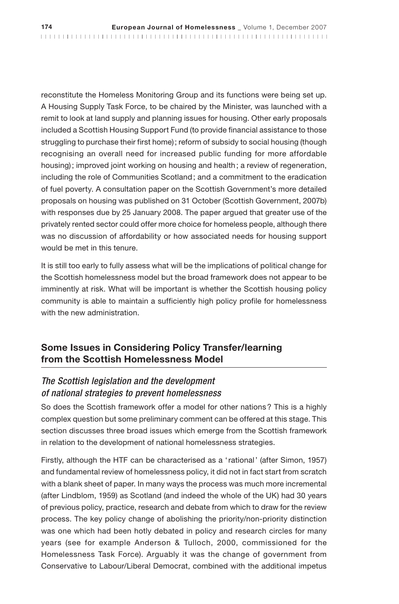reconstitute the Homeless Monitoring Group and its functions were being set up. A Housing Supply Task Force, to be chaired by the Minister, was launched with a remit to look at land supply and planning issues for housing. Other early proposals included a Scottish Housing Support Fund (to provide financial assistance to those struggling to purchase their first home); reform of subsidy to social housing (though recognising an overall need for increased public funding for more affordable housing); improved joint working on housing and health; a review of regeneration, including the role of Communities Scotland; and a commitment to the eradication of fuel poverty. A consultation paper on the Scottish Government's more detailed proposals on housing was published on 31 October (Scottish Government, 2007b) with responses due by 25 January 2008. The paper argued that greater use of the privately rented sector could offer more choice for homeless people, although there was no discussion of affordability or how associated needs for housing support would be met in this tenure.

It is still too early to fully assess what will be the implications of political change for the Scottish homelessness model but the broad framework does not appear to be imminently at risk. What will be important is whether the Scottish housing policy community is able to maintain a sufficiently high policy profile for homelessness with the new administration.

# **Some Issues in Considering Policy Transfer/learning from the Scottish Homelessness Model**

### *The Scottish legislation and the development of national strategies to prevent homelessness*

So does the Scottish framework offer a model for other nations? This is a highly complex question but some preliminary comment can be offered at this stage. This section discusses three broad issues which emerge from the Scottish framework in relation to the development of national homelessness strategies.

Firstly, although the HTF can be characterised as a 'rational' (after Simon, 1957) and fundamental review of homelessness policy, it did not in fact start from scratch with a blank sheet of paper. In many ways the process was much more incremental (after Lindblom, 1959) as Scotland (and indeed the whole of the UK) had 30 years of previous policy, practice, research and debate from which to draw for the review process. The key policy change of abolishing the priority/non-priority distinction was one which had been hotly debated in policy and research circles for many years (see for example Anderson & Tulloch, 2000, commissioned for the Homelessness Task Force). Arguably it was the change of government from Conservative to Labour/Liberal Democrat, combined with the additional impetus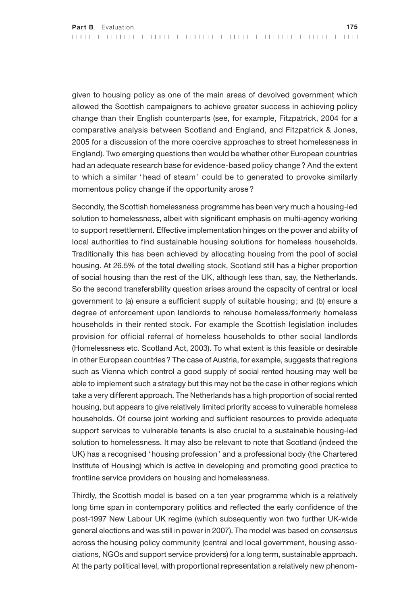given to housing policy as one of the main areas of devolved government which allowed the Scottish campaigners to achieve greater success in achieving policy change than their English counterparts (see, for example, Fitzpatrick, 2004 for a comparative analysis between Scotland and England, and Fitzpatrick & Jones, 2005 for a discussion of the more coercive approaches to street homelessness in England). Two emerging questions then would be whether other European countries had an adequate research base for evidence-based policy change? And the extent to which a similar ' head of steam ' could be to generated to provoke similarly momentous policy change if the opportunity arose?

Secondly, the Scottish homelessness programme has been very much a housing-led solution to homelessness, albeit with significant emphasis on multi-agency working to support resettlement. Effective implementation hinges on the power and ability of local authorities to find sustainable housing solutions for homeless households. Traditionally this has been achieved by allocating housing from the pool of social housing. At 26.5% of the total dwelling stock, Scotland still has a higher proportion of social housing than the rest of the UK, although less than, say, the Netherlands. So the second transferability question arises around the capacity of central or local government to (a) ensure a sufficient supply of suitable housing; and (b) ensure a degree of enforcement upon landlords to rehouse homeless/formerly homeless households in their rented stock. For example the Scottish legislation includes provision for official referral of homeless households to other social landlords (Homelessness etc. Scotland Act, 2003). To what extent is this feasible or desirable in other European countries? The case of Austria, for example, suggests that regions such as Vienna which control a good supply of social rented housing may well be able to implement such a strategy but this may not be the case in other regions which take a very different approach. The Netherlands has a high proportion of social rented housing, but appears to give relatively limited priority access to vulnerable homeless households. Of course joint working and sufficient resources to provide adequate support services to vulnerable tenants is also crucial to a sustainable housing-led solution to homelessness. It may also be relevant to note that Scotland (indeed the UK) has a recognised 'housing profession' and a professional body (the Chartered Institute of Housing) which is active in developing and promoting good practice to frontline service providers on housing and homelessness.

Thirdly, the Scottish model is based on a ten year programme which is a relatively long time span in contemporary politics and reflected the early confidence of the post-1997 New Labour UK regime (which subsequently won two further UK-wide general elections and was still in power in 2007). The model was based on *consensus*  across the housing policy community (central and local government, housing associations, NGOs and support service providers) for a long term, sustainable approach. At the party political level, with proportional representation a relatively new phenom-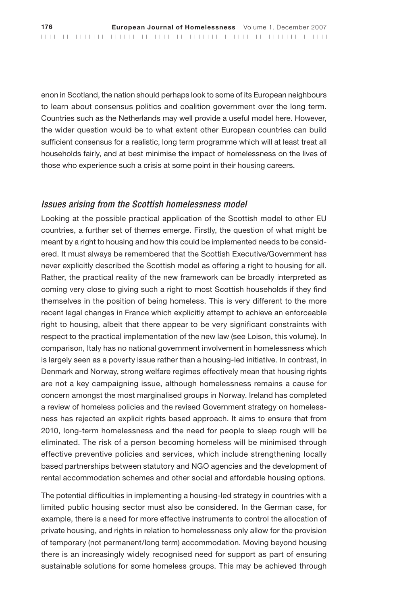enon in Scotland, the nation should perhaps look to some of its European neighbours to learn about consensus politics and coalition government over the long term. Countries such as the Netherlands may well provide a useful model here. However, the wider question would be to what extent other European countries can build sufficient consensus for a realistic, long term programme which will at least treat all households fairly, and at best minimise the impact of homelessness on the lives of those who experience such a crisis at some point in their housing careers.

#### *Issues arising from the Scottish homelessness model*

Looking at the possible practical application of the Scottish model to other EU countries, a further set of themes emerge. Firstly, the question of what might be meant by a right to housing and how this could be implemented needs to be considered. It must always be remembered that the Scottish Executive/Government has never explicitly described the Scottish model as offering a right to housing for all. Rather, the practical reality of the new framework can be broadly interpreted as coming very close to giving such a right to most Scottish households if they find themselves in the position of being homeless. This is very different to the more recent legal changes in France which explicitly attempt to achieve an enforceable right to housing, albeit that there appear to be very significant constraints with respect to the practical implementation of the new law (see Loison, this volume). In comparison, Italy has no national government involvement in homelessness which is largely seen as a poverty issue rather than a housing-led initiative. In contrast, in Denmark and Norway, strong welfare regimes effectively mean that housing rights are not a key campaigning issue, although homelessness remains a cause for concern amongst the most marginalised groups in Norway. Ireland has completed a review of homeless policies and the revised Government strategy on homelessness has rejected an explicit rights based approach. It aims to ensure that from 2010, long-term homelessness and the need for people to sleep rough will be eliminated. The risk of a person becoming homeless will be minimised through effective preventive policies and services, which include strengthening locally based partnerships between statutory and NGO agencies and the development of rental accommodation schemes and other social and affordable housing options.

The potential difficulties in implementing a housing-led strategy in countries with a limited public housing sector must also be considered. In the German case, for example, there is a need for more effective instruments to control the allocation of private housing, and rights in relation to homelessness only allow for the provision of temporary (not permanent/long term) accommodation. Moving beyond housing there is an increasingly widely recognised need for support as part of ensuring sustainable solutions for some homeless groups. This may be achieved through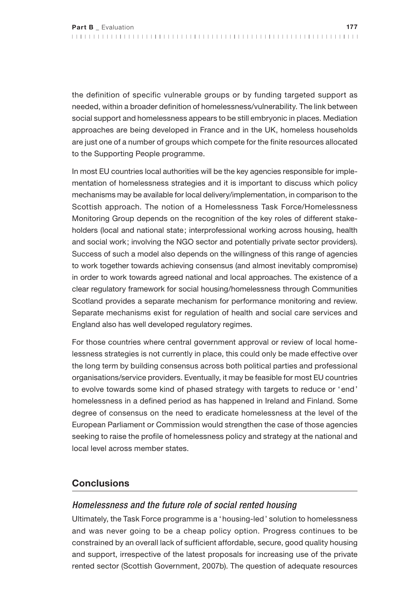the definition of specific vulnerable groups or by funding targeted support as needed, within a broader definition of homelessness/vulnerability. The link between social support and homelessness appears to be still embryonic in places. Mediation approaches are being developed in France and in the UK, homeless households are just one of a number of groups which compete for the finite resources allocated to the Supporting People programme.

In most EU countries local authorities will be the key agencies responsible for implementation of homelessness strategies and it is important to discuss which policy mechanisms may be available for local delivery/implementation, in comparison to the Scottish approach. The notion of a Homelessness Task Force/Homelessness Monitoring Group depends on the recognition of the key roles of different stakeholders (local and national state; interprofessional working across housing, health and social work; involving the NGO sector and potentially private sector providers). Success of such a model also depends on the willingness of this range of agencies to work together towards achieving consensus (and almost inevitably compromise) in order to work towards agreed national and local approaches. The existence of a clear regulatory framework for social housing/homelessness through Communities Scotland provides a separate mechanism for performance monitoring and review. Separate mechanisms exist for regulation of health and social care services and England also has well developed regulatory regimes.

For those countries where central government approval or review of local homelessness strategies is not currently in place, this could only be made effective over the long term by building consensus across both political parties and professional organisations/service providers. Eventually, it may be feasible for most EU countries to evolve towards some kind of phased strategy with targets to reduce or 'end' homelessness in a defined period as has happened in Ireland and Finland. Some degree of consensus on the need to eradicate homelessness at the level of the European Parliament or Commission would strengthen the case of those agencies seeking to raise the profile of homelessness policy and strategy at the national and local level across member states.

## **Conclusions**

#### *Homelessness and the future role of social rented housing*

Ultimately, the Task Force programme is a 'housing-led' solution to homelessness and was never going to be a cheap policy option. Progress continues to be constrained by an overall lack of sufficient affordable, secure, good quality housing and support, irrespective of the latest proposals for increasing use of the private rented sector (Scottish Government, 2007b). The question of adequate resources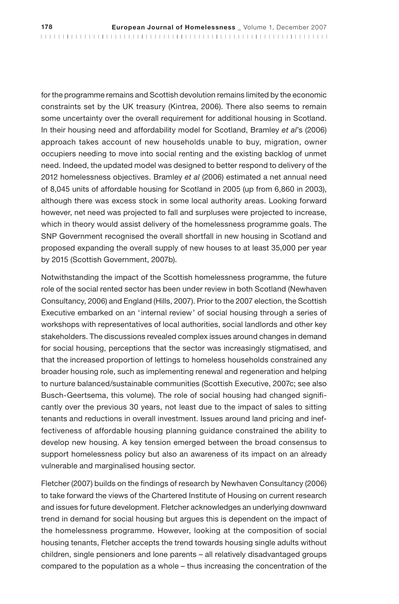for the programme remains and Scottish devolution remains limited by the economic constraints set by the UK treasury (Kintrea, 2006). There also seems to remain some uncertainty over the overall requirement for additional housing in Scotland. In their housing need and affordability model for Scotland, Bramley *et al*'s (2006) approach takes account of new households unable to buy, migration, owner occupiers needing to move into social renting and the existing backlog of unmet need. Indeed, the updated model was designed to better respond to delivery of the 2012 homelessness objectives. Bramley *et al* (2006) estimated a net annual need of 8,045 units of affordable housing for Scotland in 2005 (up from 6,860 in 2003), although there was excess stock in some local authority areas. Looking forward however, net need was projected to fall and surpluses were projected to increase, which in theory would assist delivery of the homelessness programme goals. The SNP Government recognised the overall shortfall in new housing in Scotland and proposed expanding the overall supply of new houses to at least 35,000 per year by 2015 (Scottish Government, 2007b).

Notwithstanding the impact of the Scottish homelessness programme, the future role of the social rented sector has been under review in both Scotland (Newhaven Consultancy, 2006) and England (Hills, 2007). Prior to the 2007 election, the Scottish Executive embarked on an 'internal review' of social housing through a series of workshops with representatives of local authorities, social landlords and other key stakeholders. The discussions revealed complex issues around changes in demand for social housing, perceptions that the sector was increasingly stigmatised, and that the increased proportion of lettings to homeless households constrained any broader housing role, such as implementing renewal and regeneration and helping to nurture balanced/sustainable communities (Scottish Executive, 2007c; see also Busch-Geertsema, this volume). The role of social housing had changed significantly over the previous 30 years, not least due to the impact of sales to sitting tenants and reductions in overall investment. Issues around land pricing and ineffectiveness of affordable housing planning guidance constrained the ability to develop new housing. A key tension emerged between the broad consensus to support homelessness policy but also an awareness of its impact on an already vulnerable and marginalised housing sector.

Fletcher (2007) builds on the findings of research by Newhaven Consultancy (2006) to take forward the views of the Chartered Institute of Housing on current research and issues for future development. Fletcher acknowledges an underlying downward trend in demand for social housing but argues this is dependent on the impact of the homelessness programme. However, looking at the composition of social housing tenants, Fletcher accepts the trend towards housing single adults without children, single pensioners and lone parents – all relatively disadvantaged groups compared to the population as a whole – thus increasing the concentration of the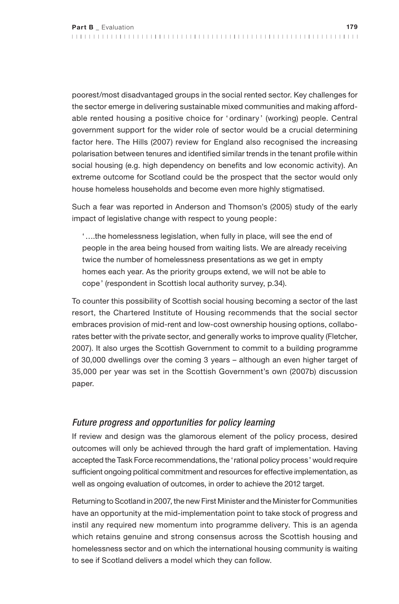poorest/most disadvantaged groups in the social rented sector. Key challenges for the sector emerge in delivering sustainable mixed communities and making affordable rented housing a positive choice for ' ordinary ' (working) people. Central government support for the wider role of sector would be a crucial determining factor here. The Hills (2007) review for England also recognised the increasing polarisation between tenures and identified similar trends in the tenant profile within social housing (e.g. high dependency on benefits and low economic activity). An extreme outcome for Scotland could be the prospect that the sector would only house homeless households and become even more highly stigmatised.

Such a fear was reported in Anderson and Thomson's (2005) study of the early impact of legislative change with respect to young people:

'….the homelessness legislation, when fully in place, will see the end of people in the area being housed from waiting lists. We are already receiving twice the number of homelessness presentations as we get in empty homes each year. As the priority groups extend, we will not be able to cope' (respondent in Scottish local authority survey, p.34).

To counter this possibility of Scottish social housing becoming a sector of the last resort, the Chartered Institute of Housing recommends that the social sector embraces provision of mid-rent and low-cost ownership housing options, collaborates better with the private sector, and generally works to improve quality (Fletcher, 2007). It also urges the Scottish Government to commit to a building programme of 30,000 dwellings over the coming 3 years – although an even higher target of 35,000 per year was set in the Scottish Government's own (2007b) discussion paper.

#### *Future progress and opportunities for policy learning*

If review and design was the glamorous element of the policy process, desired outcomes will only be achieved through the hard graft of implementation. Having accepted the Task Force recommendations, the 'rational policy process' would require sufficient ongoing political commitment and resources for effective implementation, as well as ongoing evaluation of outcomes, in order to achieve the 2012 target.

Returning to Scotland in 2007, the new First Minister and the Minister for Communities have an opportunity at the mid-implementation point to take stock of progress and instil any required new momentum into programme delivery. This is an agenda which retains genuine and strong consensus across the Scottish housing and homelessness sector and on which the international housing community is waiting to see if Scotland delivers a model which they can follow.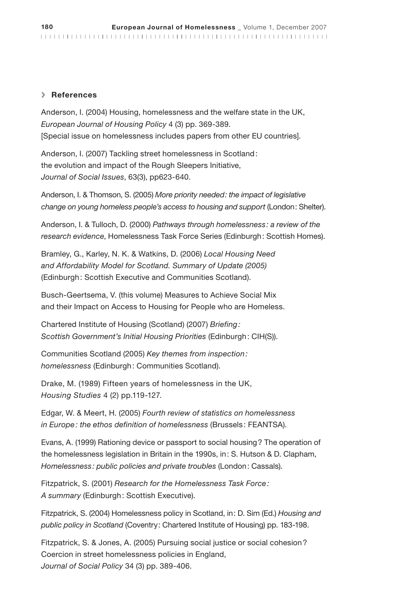#### **> References**

Anderson, I. (2004) Housing, homelessness and the welfare state in the UK, *European Journal of Housing Policy* 4 (3) pp. 369-389. [Special issue on homelessness includes papers from other EU countries].

Anderson, I. (2007) Tackling street homelessness in Scotland: the evolution and impact of the Rough Sleepers Initiative, *Journal of Social Issues*, 63(3), pp623-640.

Anderson, I. & Thomson, S. (2005) *More priority needed: the impact of legislative change on young homeless people's access to housing and support* (London: Shelter).

Anderson, I. & Tulloch, D. (2000) *Pathways through homelessness: a review of the research evidence*, Homelessness Task Force Series (Edinburgh: Scottish Homes).

Bramley, G., Karley, N. K. & Watkins, D. (2006) *Local Housing Need and Affordability Model for Scotland. Summary of Update (2005)* (Edinburgh: Scottish Executive and Communities Scotland).

Busch-Geertsema, V. (this volume) Measures to Achieve Social Mix and their Impact on Access to Housing for People who are Homeless.

Chartered Institute of Housing (Scotland) (2007) *Briefing: Scottish Government's Initial Housing Priorities* (Edinburgh: CIH(S)).

Communities Scotland (2005) *Key themes from inspection: homelessness* (Edinburgh: Communities Scotland).

Drake, M. (1989) Fifteen years of homelessness in the UK, *Housing Studies* 4 (2) pp.119-127.

Edgar, W. & Meert, H. (2005) *Fourth review of statistics on homelessness in Europe: the ethos definition of homelessness* (Brussels : FEANTSA).

Evans, A. (1999) Rationing device or passport to social housing? The operation of the homelessness legislation in Britain in the 1990s, in: S. Hutson & D. Clapham, *Homelessness: public policies and private troubles* (London: Cassals).

Fitzpatrick, S. (2001) *Research for the Homelessness Task Force: A summary* (Edinburgh: Scottish Executive).

Fitzpatrick, S. (2004) Homelessness policy in Scotland, in: D. Sim (Ed.) *Housing and public policy in Scotland* (Coventry: Chartered Institute of Housing) pp. 183-198.

Fitzpatrick, S. & Jones, A. (2005) Pursuing social justice or social cohesion? Coercion in street homelessness policies in England, *Journal of Social Policy* 34 (3) pp. 389-406.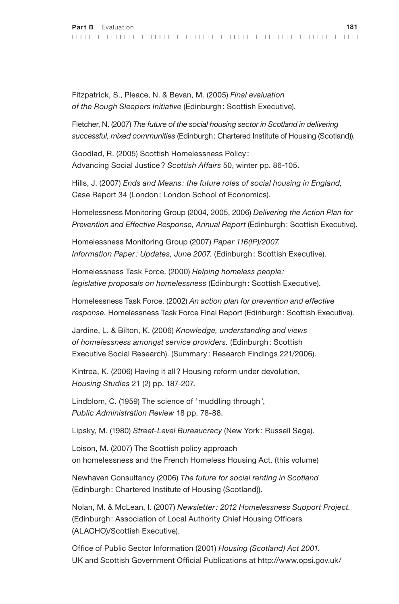Fitzpatrick, S., Pleace, N. & Bevan, M. (2005) *Final evaluation of the Rough Sleepers Initiative* (Edinburgh: Scottish Executive).

Fletcher, N. (2007) *The future of the social housing sector in Scotland in delivering successful, mixed communities* (Edinburgh: Chartered Institute of Housing (Scotland)).

Goodlad, R. (2005) Scottish Homelessness Policy : Advancing Social Justice? *Scottish Affairs* 50, winter pp. 86-105.

Hills, J. (2007) *Ends and Means : the future roles of social housing in England,* Case Report 34 (London: London School of Economics).

Homelessness Monitoring Group (2004, 2005, 2006) *Delivering the Action Plan for Prevention and Effective Response, Annual Report* (Edinburgh: Scottish Executive).

Homelessness Monitoring Group (2007) *Paper 116(IP)/2007. Information Paper: Updates, June 2007.* (Edinburgh: Scottish Executive).

Homelessness Task Force. (2000) *Helping homeless people: legislative proposals on homelessness* (Edinburgh: Scottish Executive).

Homelessness Task Force. (2002) *An action plan for prevention and effective response.* Homelessness Task Force Final Report (Edinburgh: Scottish Executive).

Jardine, L. & Bilton, K. (2006) *Knowledge, understanding and views of homelessness amongst service providers.* (Edinburgh: Scottish Executive Social Research). (Summary : Research Findings 221/2006).

Kintrea, K. (2006) Having it all? Housing reform under devolution, *Housing Studies* 21 (2) pp. 187-207.

Lindblom, C. (1959) The science of 'muddling through', *Public Administration Review* 18 pp. 78-88.

Lipsky, M. (1980) *Street-Level Bureaucracy* (New York: Russell Sage).

Loison, M. (2007) The Scottish policy approach on homelessness and the French Homeless Housing Act. (this volume)

Newhaven Consultancy (2006) *The future for social renting in Scotland* (Edinburgh: Chartered Institute of Housing (Scotland)).

Nolan, M. & McLean, I. (2007) *Newsletter: 2012 Homelessness Support Project.*  (Edinburgh: Association of Local Authority Chief Housing Officers (ALACHO)/Scottish Executive).

Office of Public Sector Information (2001) *Housing (Scotland) Act 2001.* UK and Scottish Government Official Publications at http://www.opsi.gov.uk/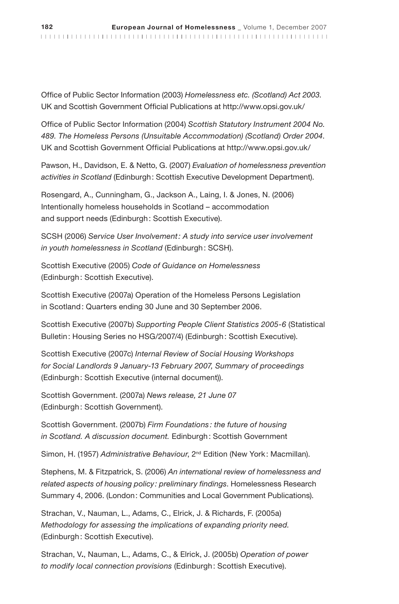Office of Public Sector Information (2003) *Homelessness etc. (Scotland) Act 2003.* UK and Scottish Government Official Publications at http://www.opsi.gov.uk/

Office of Public Sector Information (2004) *Scottish Statutory Instrument 2004 No. 489. The Homeless Persons (Unsuitable Accommodation) (Scotland) Order 2004*. UK and Scottish Government Official Publications at http://www.opsi.gov.uk/

Pawson, H., Davidson, E. & Netto, G. (2007) *Evaluation of homelessness prevention activities in Scotland* (Edinburgh: Scottish Executive Development Department).

Rosengard, A., Cunningham, G., Jackson A., Laing, I. & Jones, N. (2006) Intentionally homeless households in Scotland – accommodation and support needs (Edinburgh: Scottish Executive).

SCSH (2006) *Service User Involvement: A study into service user involvement in youth homelessness in Scotland* (Edinburgh: SCSH).

Scottish Executive (2005) *Code of Guidance on Homelessness* (Edinburgh: Scottish Executive).

Scottish Executive (2007a) Operation of the Homeless Persons Legislation in Scotland: Quarters ending 30 June and 30 September 2006.

Scottish Executive (2007b) *Supporting People Client Statistics 2005-6* (Statistical Bulletin: Housing Series no HSG/2007/4) (Edinburgh: Scottish Executive).

Scottish Executive (2007c) *Internal Review of Social Housing Workshops for Social Landlords 9 January-13 February 2007, Summary of proceedings* (Edinburgh: Scottish Executive (internal document)).

Scottish Government. (2007a) *News release, 21 June 07*  (Edinburgh: Scottish Government).

Scottish Government. (2007b) *Firm Foundations : the future of housing in Scotland. A discussion document.* Edinburgh: Scottish Government

Simon, H. (1957) *Administrative Behaviour*, 2nd Edition (New York: Macmillan).

Stephens, M. & Fitzpatrick, S. (2006) *An international review of homelessness and related aspects of housing policy: preliminary findings*. Homelessness Research Summary 4, 2006. (London: Communities and Local Government Publications).

Strachan, V., Nauman, L., Adams, C., Elrick, J. & Richards, F. (2005a) *Methodology for assessing the implications of expanding priority need.* (Edinburgh: Scottish Executive).

Strachan, V**.**, Nauman, L., Adams, C., & Elrick, J. (2005b) *Operation of power to modify local connection provisions* (Edinburgh: Scottish Executive).